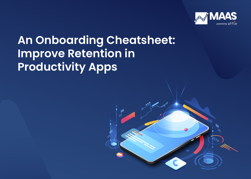

# **An Onboarding Cheatsheet: Improve Retention in Productivity Apps**

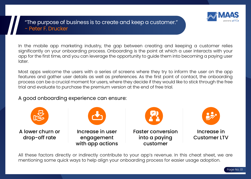

Page No. 01

# "The purpose of business is to create and keep a customer." - Peter F. Drucker

In the mobile app marketing industry, the gap between creating and keeping a customer relies significantly on your onboarding process. Onboarding is the point at which a user interacts with your app for the first time, and you can leverage the opportunity to guide them into becoming a paying user later.

Most apps welcome the users with a series of screens where they try to inform the user on the app features and gather user details as well as preferences. As the first point of contact, the onboarding process can be a crucial moment for users, where they decide if they would like to stick through the free trial and evaluate to purchase the premium version at the end of free trial.

A good onboarding experience can ensure:



All these factors directly or indirectly contribute to your app's revenue. In this cheat sheet, we are mentioning some quick ways to help align your onboarding process for easier usage adoption.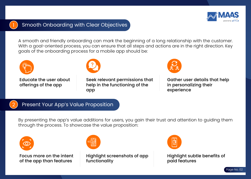



### **Smooth Onboarding with Clear Objectives**

A smooth and friendly onboarding can mark the beginning of a long relationship with the customer. With a goal-oriented process, you can ensure that all steps and actions are in the right direction. Key goals of the onboarding process for a mobile app should be:



Educate the user about offerings of the app



Seek relevant permissions that help in the functioning of the app



Gather user details that help in personalizing their experience



## Present Your App's Value Proposition

By presenting the app's value additions for users, you gain their trust and attention to guiding them through the process. To showcase the value proposition:



Focus more on the intent of the app than features



Highlight screenshots of app functionality



Highlight subtle benefits of paid features

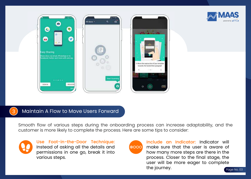



#### 3) Maintain A Flow to Move Users Forward

Smooth flow of various steps during the onboarding process can increase adaptability, and the customer is more likely to complete the process. Here are some tips to consider:



Use Foot-in-the-Door Technique: Instead of asking all the details and permissions in one go, break it into various steps.



Page No. 03 Include an Indicator: Indicator will make sure that the user is aware of how many more steps are there in the process. Closer to the final stage, the user will be more eager to complete the journey.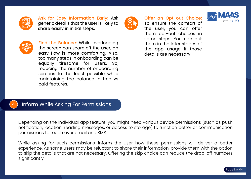

Ask for Easy Information Early: Ask generic details that the user is likely to share easily in initial steps.



Offer an Opt-out Choice: To ensure the comfort of the user, you can offer them opt-out choices in some steps. You can ask them in the later stages of the app usage if those

details are necessary.





Find the Balance: While overloading the screen can scare off the user, an easy flow is more comforting. Also, too many steps in onboarding can be equally tiresome for users. So, reducing the number of onboarding screens to the least possible while maintaining the balance in free vs paid features.



#### Inform While Asking For Permissions

Depending on the individual app feature, you might need various device permissions (such as push notification, location, reading messages, or access to storage) to function better or communication permissions to reach over email and SMS.

While asking for such permissions, inform the user how these permissions will deliver a better experience. As some users may be reluctant to share their information, provide them with the option to skip the details that are not necessary. Offering the skip choice can reduce the drop-off numbers significantly.

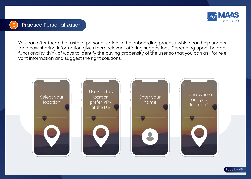

You can offer them the taste of personalization in the onboarding process, which can help understand how sharing information gives them relevant offering suggestions. Depending upon the app functionality, think of ways to identify the buying propensity of the user so that you can ask for relevant information and suggest the right solutions.

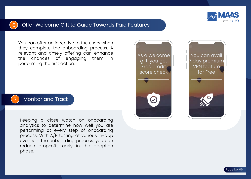

#### 6 Offer Welcome Gift to Guide Towards Paid Features

You can offer an incentive to the users when they complete the onboarding process. A relevant and timely offering can enhance<br>the chances of engaging them in the chances of engaging them in performing the first action.



#### **Monitor and Track**

Keeping a close watch on onboarding analytics to determine how well you are performing at every step of onboarding process. With A/B testing at various in-app events in the onboarding process, you can reduce drop-offs early in the adoption phase.



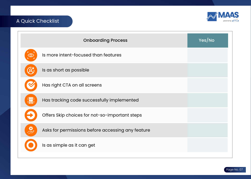![](_page_7_Picture_0.jpeg)

# A Quick Checklist

|                           | <b>Onboarding Process</b>                         | Yes/No |
|---------------------------|---------------------------------------------------|--------|
| $\odot$                   | Is more intent-focused than features              |        |
|                           | Is as short as possible                           |        |
|                           | Has right CTA on all screens                      |        |
| する<br>その <mark>手</mark> に | Has tracking code successfully implemented        |        |
|                           | Offers Skip choices for not-so-important steps    |        |
| 욧                         | Asks for permissions before accessing any feature |        |
|                           | Is as simple as it can get                        |        |
|                           |                                                   |        |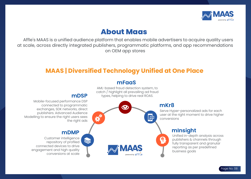![](_page_8_Picture_0.jpeg)

# **About Maas**

 Affle's MAAS is a unified audience platform that enables mobile advertisers to acquire quality users at scale, across directly integrated publishers, programmatic platforms, and app recommendations on OEM app stores

# **MAAS | Diversified Technology Unified at One Place**

#### **mFaaS**

![](_page_8_Figure_5.jpeg)

AML-based fraud detection system, to catch / highlight all prevailing ad fraud

Modelling to ensure the right users sees

engagement and high quality